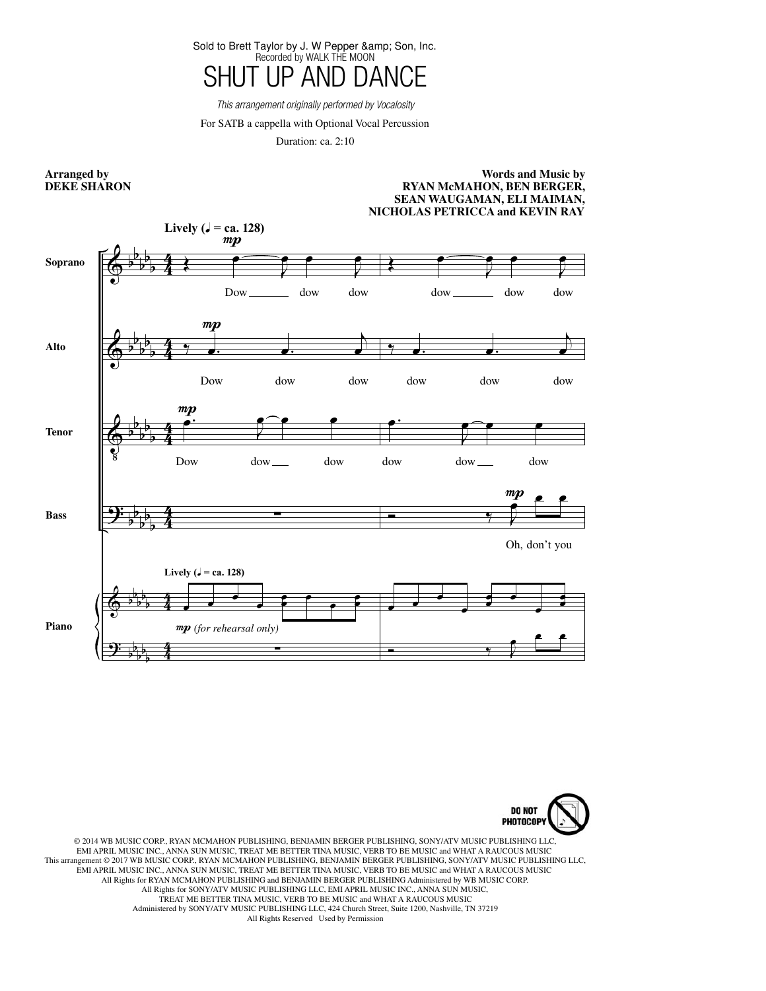Recorded by WALK THE MOON

## SHUT UP AND DANCE

This arrangement originally performed by Vocalosity

For SATB a cappella with Optional Vocal Percussion

Duration: ca. 2:10





© 2014 WB MUSIC CORP., RYAN MCMAHON PUBLISHING, BENJAMIN BERGER PUBLISHING, SONY/ATV MUSIC PUBLISHING LLC, EMI APRIL MUSIC INC., ANNA SUN MUSIC, TREAT ME BETTER TINA MUSIC, VERB TO BE MUSIC and WHAT A RAUCOUS MUSIC This arrangement © 2017 WB MUSIC CORP., RYAN MCMAHON PUBLISHING, BENJAMIN BERGER PUBLISHING, SONY/ATV MUSIC PUBLISHING LLC,<br>EMI APRIL MUSIC INC., ANNA SUN MUSIC, TREAT ME BETTER TINA MUSIC, VERB TO BE MUSIC and WHAT A RAUC All Rights for RYAN MCMAHON PUBLISHING and BENJAMIN BERGER PUBLISHING Administered by WB MUSIC CORP. All Rights for SONY/ATV MUSIC PUBLISHING LLC, EMI APRIL MUSIC INC., ANNA SUN MUSIC, TREAT ME BETTER TINA MUSIC, VERB TO BE MUSIC and WHAT A RAUCOUS MUSIC Administered by SONY/ATV MUSIC PUBLISHING LLC, 424 Church Street, Suite 1200, Nashville, TN 37219 All Rights Reserved Used by Permission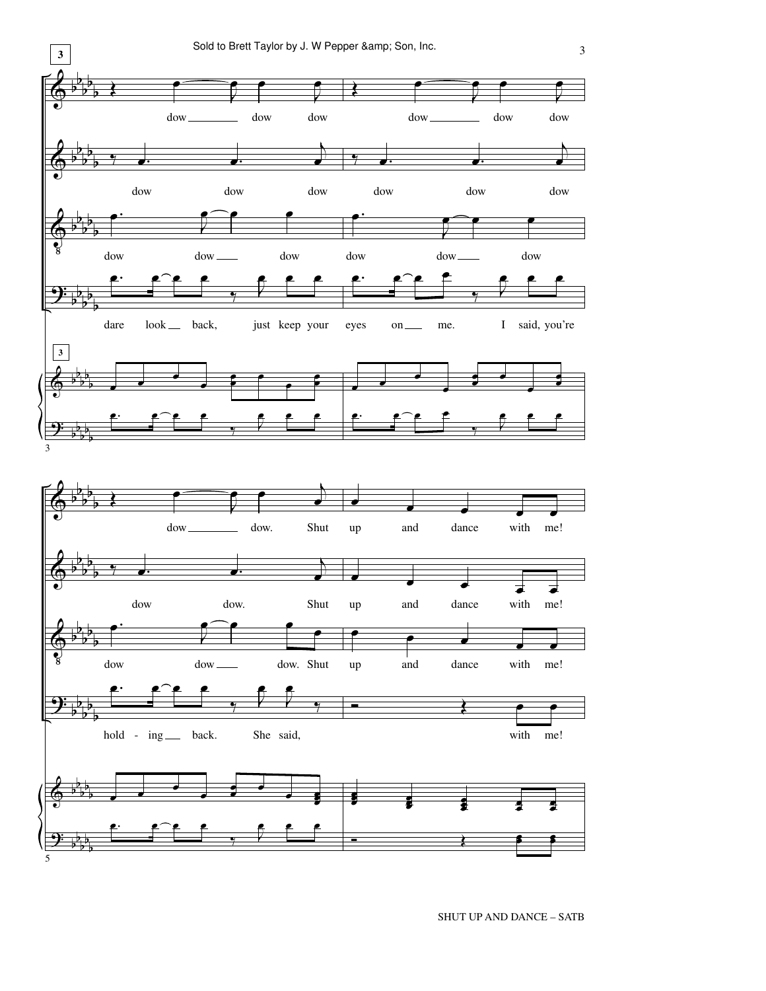

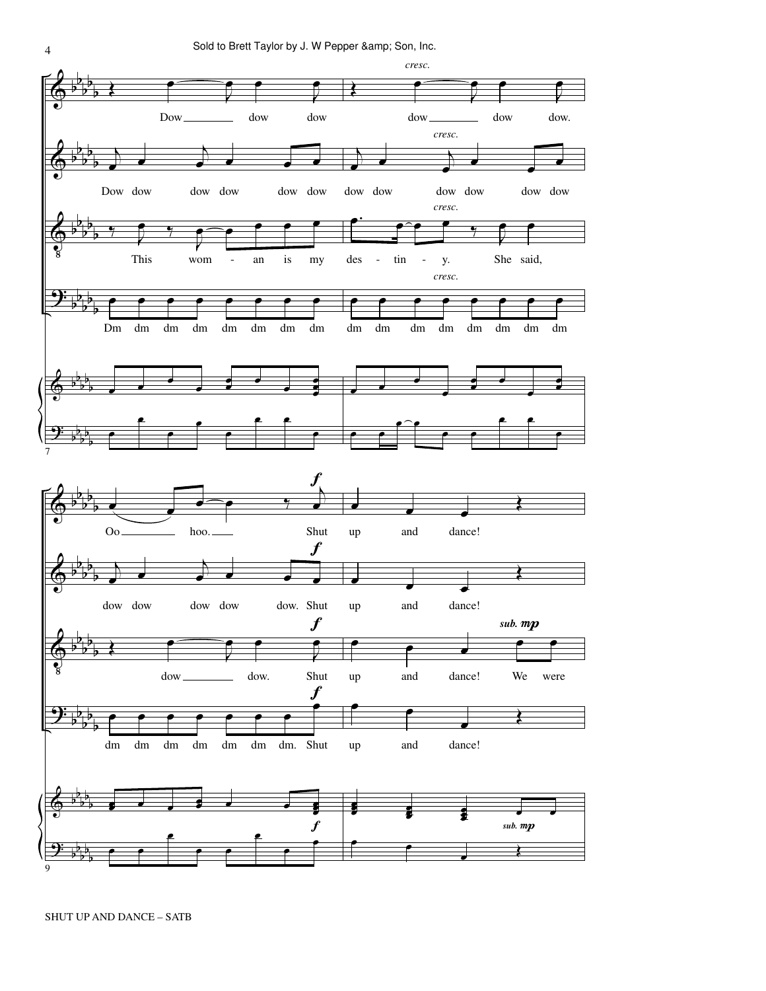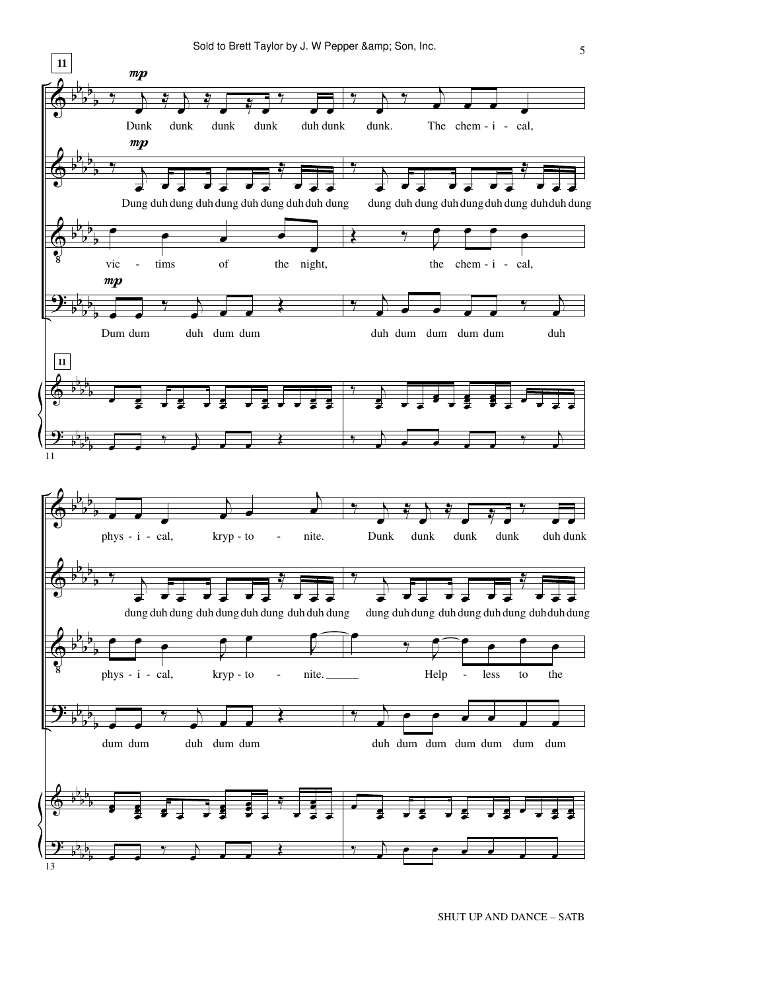

SHUT UP AND DANCE – SATB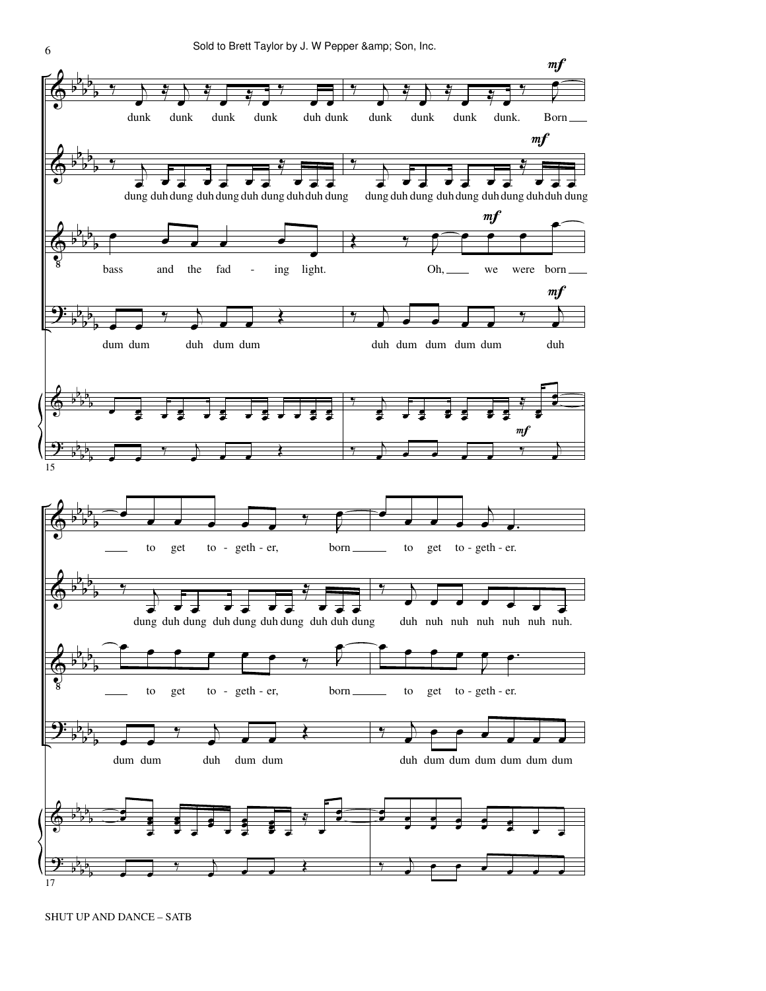

SHUT UP AND DANCE – SATB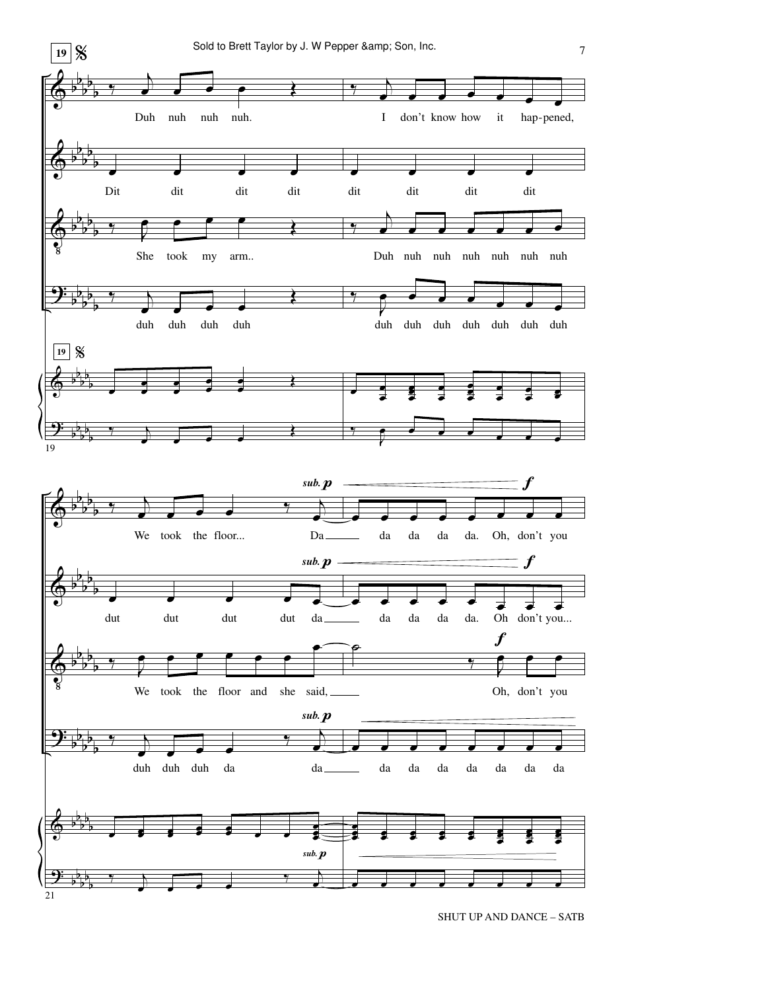



SHUT UP AND DANCE – SATB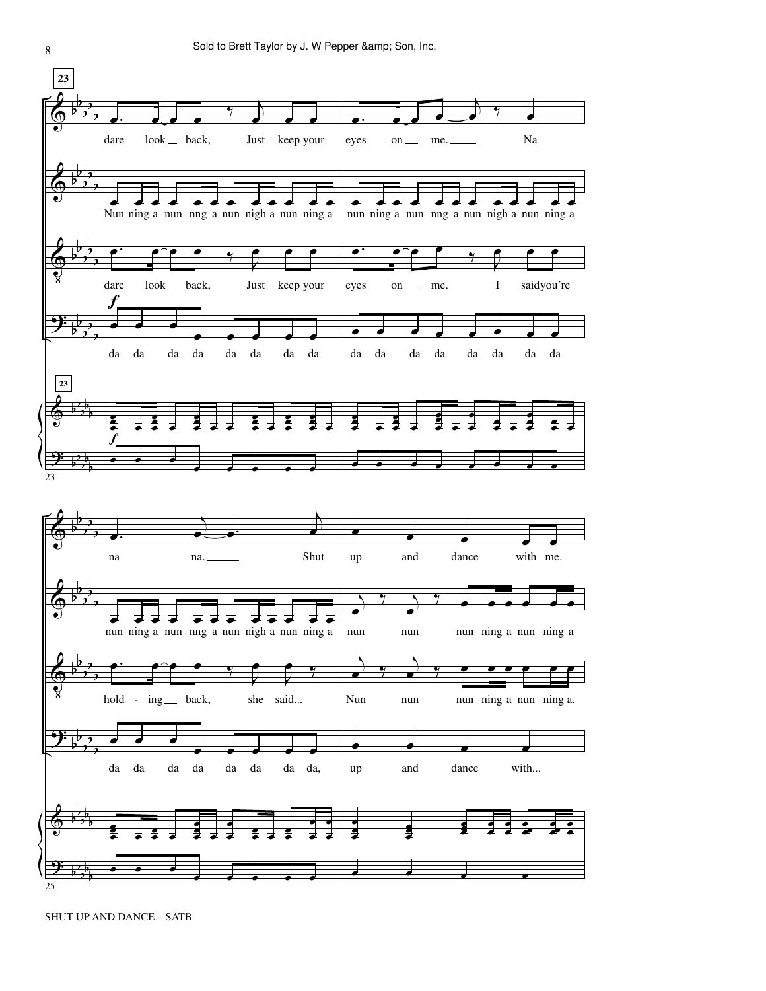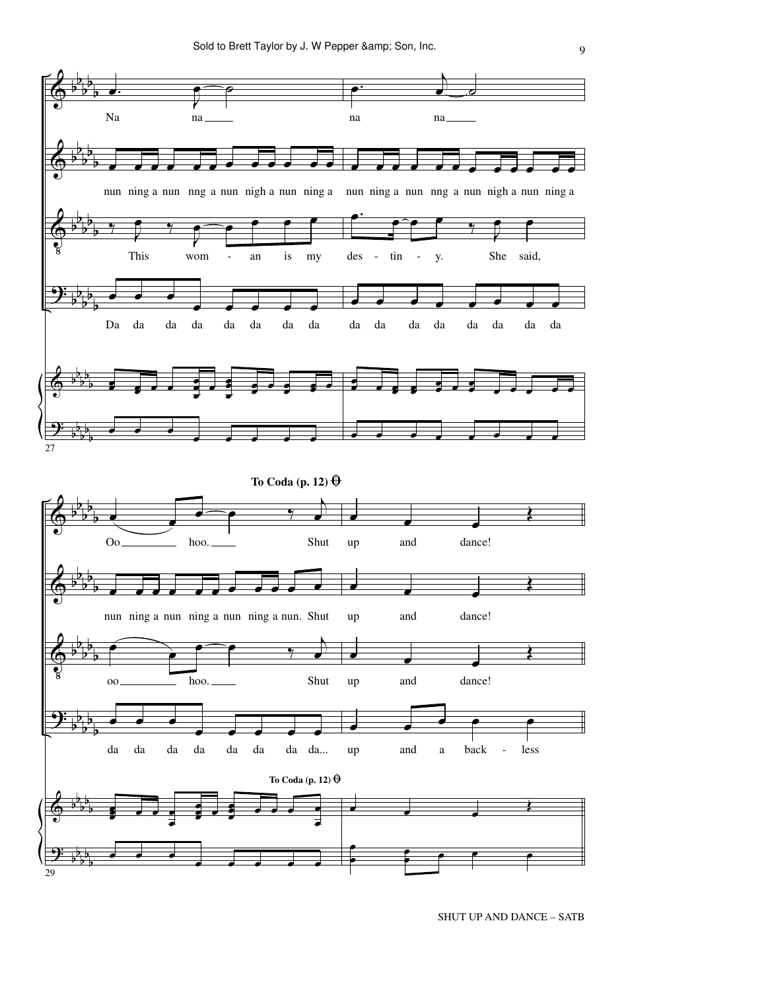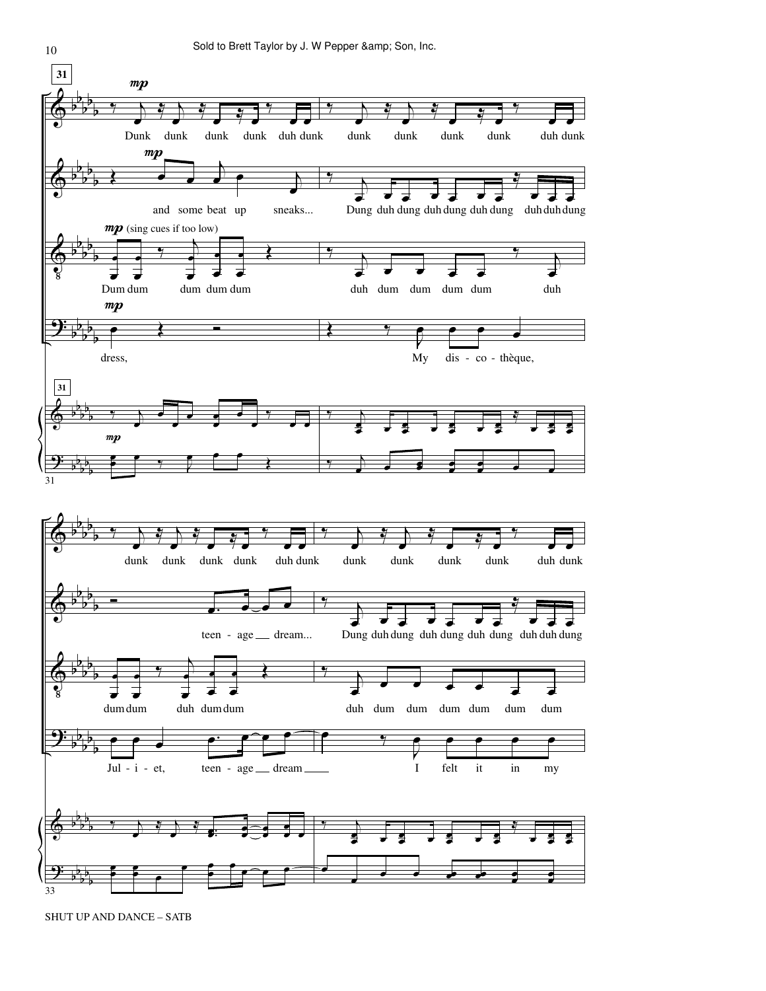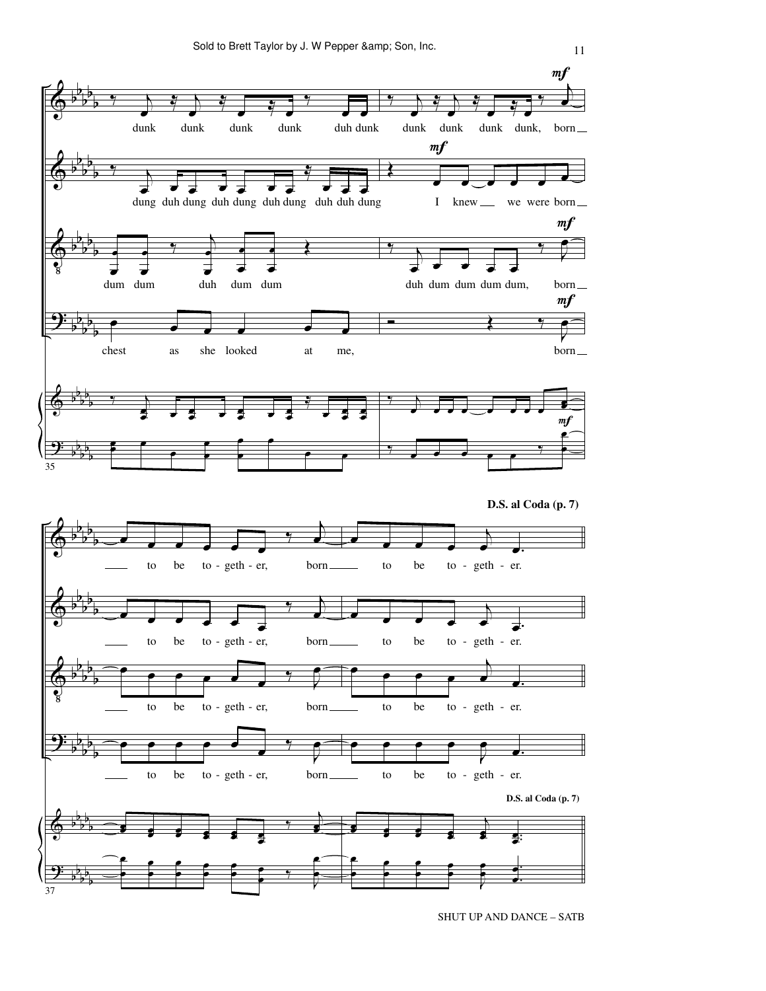

SHUT UP AND DANCE – SATB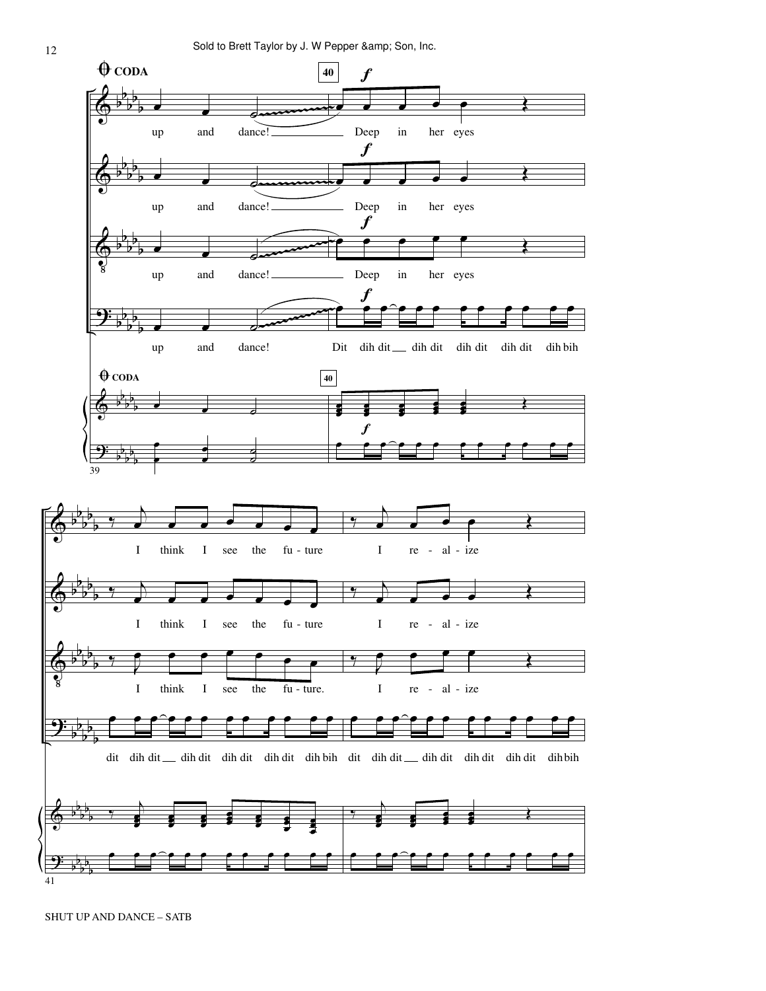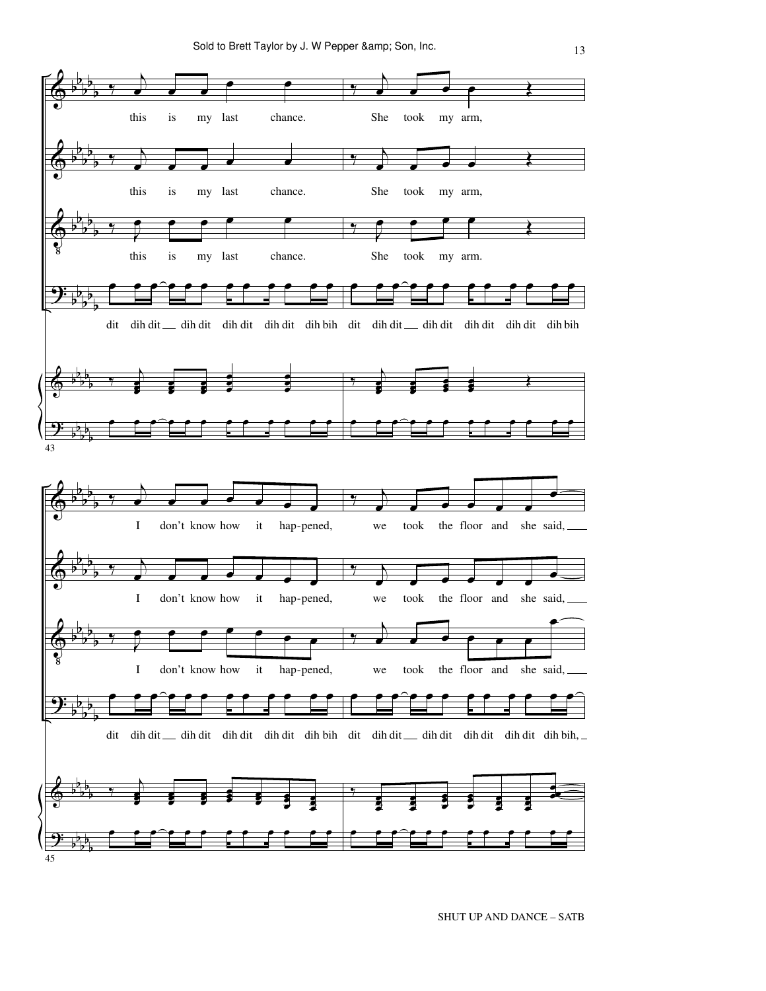

SHUT UP AND DANCE – SATB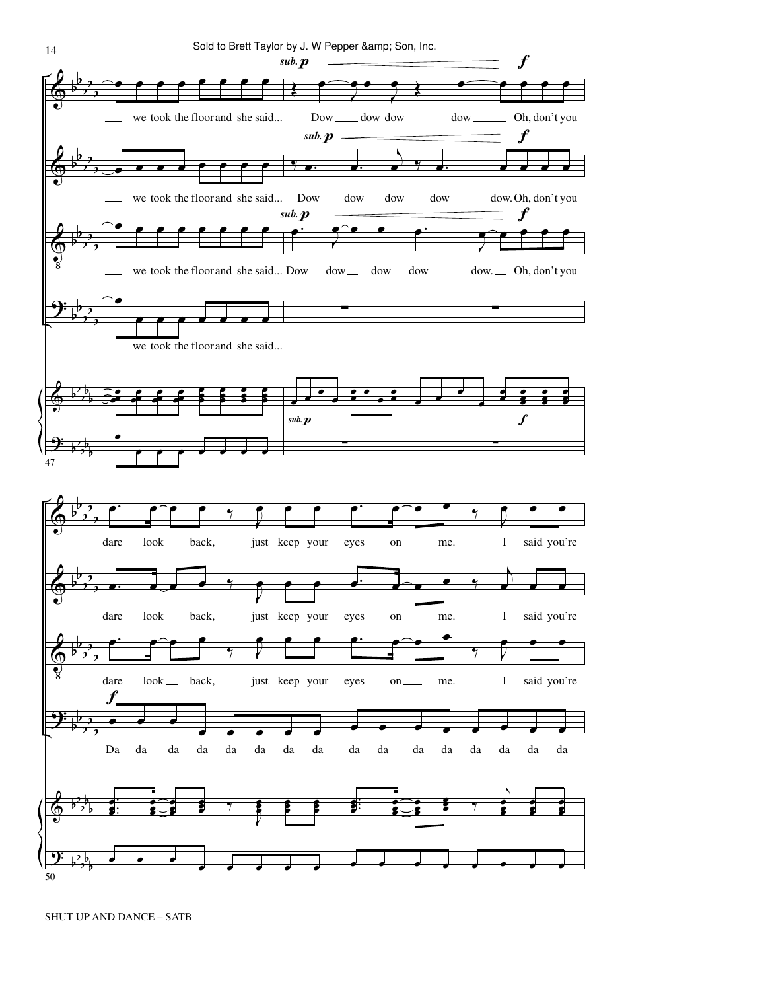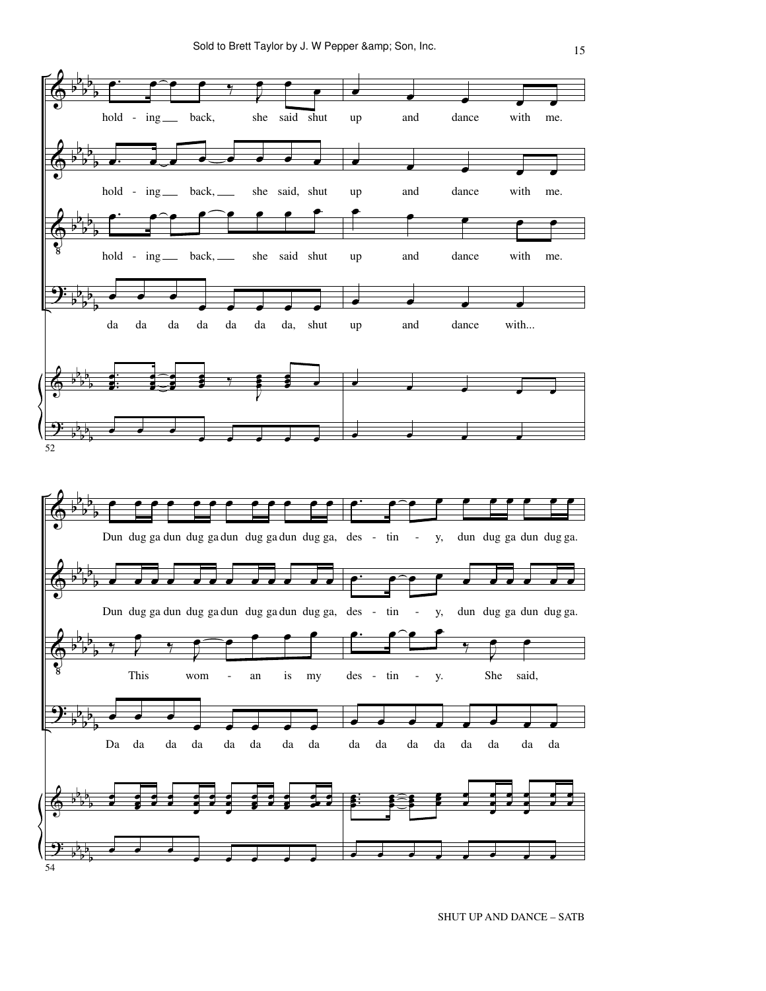

SHUT UP AND DANCE – SATB